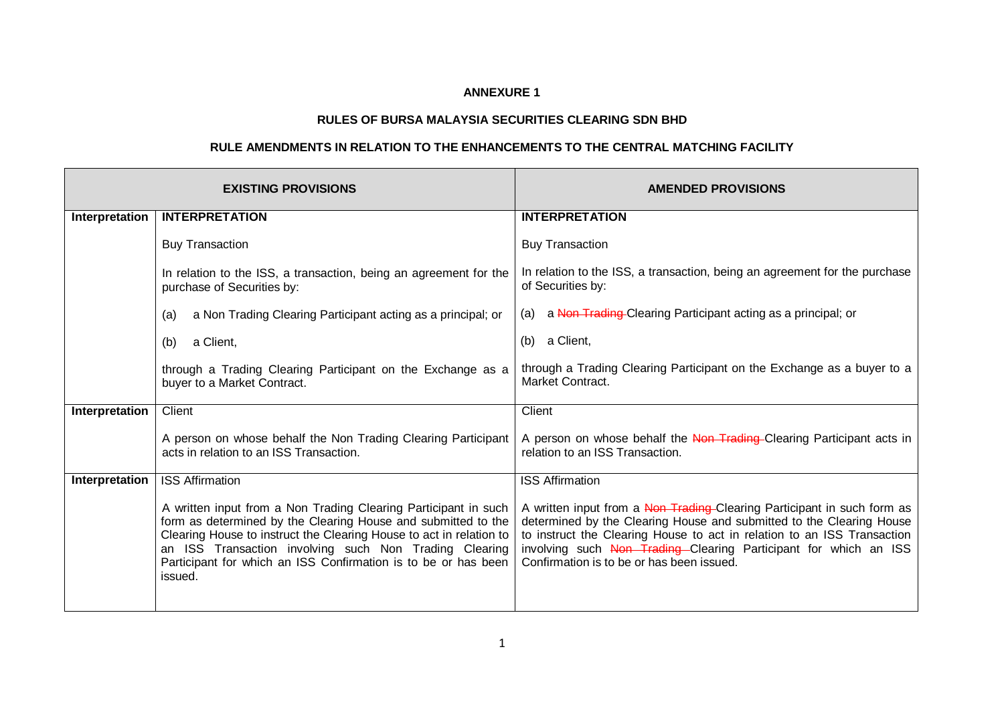## **ANNEXURE 1**

## **RULES OF BURSA MALAYSIA SECURITIES CLEARING SDN BHD**

## **RULE AMENDMENTS IN RELATION TO THE ENHANCEMENTS TO THE CENTRAL MATCHING FACILITY**

|                | <b>EXISTING PROVISIONS</b>                                                                                                                                                                                                                                                                                                                     | <b>AMENDED PROVISIONS</b>                                                                                                                                                                                                                                                                                                                   |  |  |
|----------------|------------------------------------------------------------------------------------------------------------------------------------------------------------------------------------------------------------------------------------------------------------------------------------------------------------------------------------------------|---------------------------------------------------------------------------------------------------------------------------------------------------------------------------------------------------------------------------------------------------------------------------------------------------------------------------------------------|--|--|
| Interpretation | <b>INTERPRETATION</b>                                                                                                                                                                                                                                                                                                                          | <b>INTERPRETATION</b>                                                                                                                                                                                                                                                                                                                       |  |  |
|                | <b>Buy Transaction</b>                                                                                                                                                                                                                                                                                                                         | <b>Buy Transaction</b>                                                                                                                                                                                                                                                                                                                      |  |  |
|                | In relation to the ISS, a transaction, being an agreement for the<br>purchase of Securities by:                                                                                                                                                                                                                                                | In relation to the ISS, a transaction, being an agreement for the purchase<br>of Securities by:                                                                                                                                                                                                                                             |  |  |
|                | a Non Trading Clearing Participant acting as a principal; or<br>(a)                                                                                                                                                                                                                                                                            | a Non-Trading-Clearing Participant acting as a principal; or<br>(a)                                                                                                                                                                                                                                                                         |  |  |
|                | a Client,<br>(b)                                                                                                                                                                                                                                                                                                                               | a Client,<br>(b)                                                                                                                                                                                                                                                                                                                            |  |  |
|                | through a Trading Clearing Participant on the Exchange as a<br>buyer to a Market Contract.                                                                                                                                                                                                                                                     | through a Trading Clearing Participant on the Exchange as a buyer to a<br>Market Contract.                                                                                                                                                                                                                                                  |  |  |
| Interpretation | Client                                                                                                                                                                                                                                                                                                                                         | Client                                                                                                                                                                                                                                                                                                                                      |  |  |
|                | A person on whose behalf the Non Trading Clearing Participant<br>acts in relation to an ISS Transaction.                                                                                                                                                                                                                                       | A person on whose behalf the Non-Trading-Clearing Participant acts in<br>relation to an ISS Transaction.                                                                                                                                                                                                                                    |  |  |
| Interpretation | <b>ISS Affirmation</b>                                                                                                                                                                                                                                                                                                                         | <b>ISS Affirmation</b>                                                                                                                                                                                                                                                                                                                      |  |  |
|                | A written input from a Non Trading Clearing Participant in such<br>form as determined by the Clearing House and submitted to the<br>Clearing House to instruct the Clearing House to act in relation to<br>an ISS Transaction involving such Non Trading Clearing<br>Participant for which an ISS Confirmation is to be or has been<br>issued. | A written input from a Non-Trading-Clearing Participant in such form as<br>determined by the Clearing House and submitted to the Clearing House<br>to instruct the Clearing House to act in relation to an ISS Transaction<br>involving such Non Trading Clearing Participant for which an ISS<br>Confirmation is to be or has been issued. |  |  |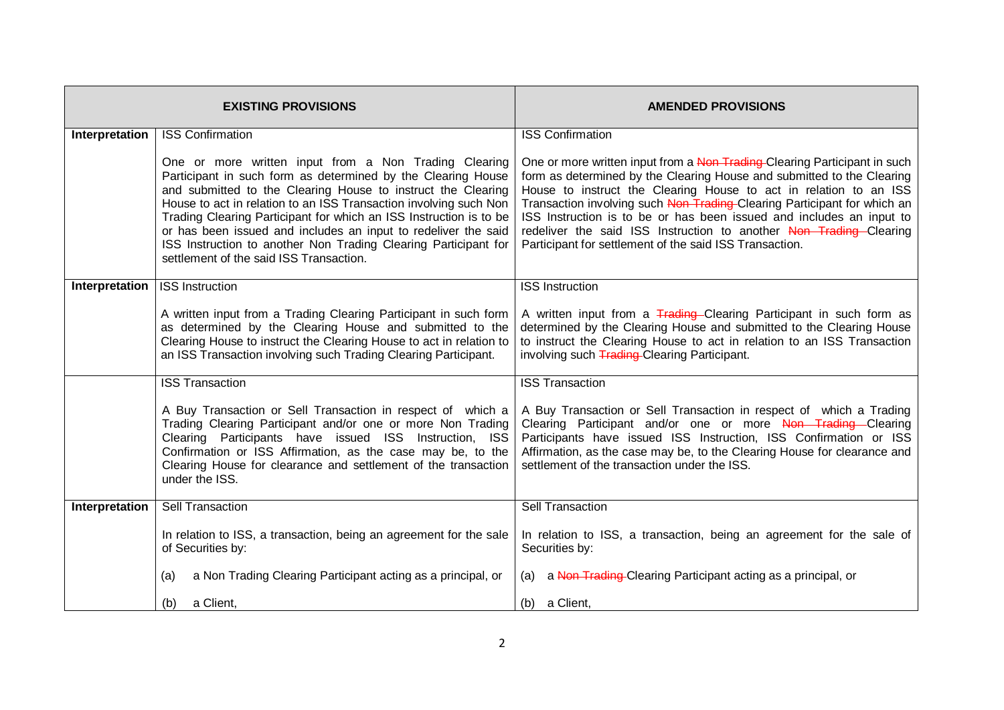|                | <b>EXISTING PROVISIONS</b>                                                                                                                                                                                                                                                                                                                                                                                                                                                                                       | <b>AMENDED PROVISIONS</b>                                                                                                                                                                                                                                                                                                                                                                                                                                                                                     |
|----------------|------------------------------------------------------------------------------------------------------------------------------------------------------------------------------------------------------------------------------------------------------------------------------------------------------------------------------------------------------------------------------------------------------------------------------------------------------------------------------------------------------------------|---------------------------------------------------------------------------------------------------------------------------------------------------------------------------------------------------------------------------------------------------------------------------------------------------------------------------------------------------------------------------------------------------------------------------------------------------------------------------------------------------------------|
| Interpretation | <b>ISS Confirmation</b>                                                                                                                                                                                                                                                                                                                                                                                                                                                                                          | <b>ISS Confirmation</b>                                                                                                                                                                                                                                                                                                                                                                                                                                                                                       |
|                | One or more written input from a Non Trading Clearing<br>Participant in such form as determined by the Clearing House<br>and submitted to the Clearing House to instruct the Clearing<br>House to act in relation to an ISS Transaction involving such Non<br>Trading Clearing Participant for which an ISS Instruction is to be<br>or has been issued and includes an input to redeliver the said<br>ISS Instruction to another Non Trading Clearing Participant for<br>settlement of the said ISS Transaction. | One or more written input from a Non Trading-Clearing Participant in such<br>form as determined by the Clearing House and submitted to the Clearing<br>House to instruct the Clearing House to act in relation to an ISS<br>Transaction involving such Non Trading-Clearing Participant for which an<br>ISS Instruction is to be or has been issued and includes an input to<br>redeliver the said ISS Instruction to another Non Trading Clearing<br>Participant for settlement of the said ISS Transaction. |
| Interpretation | <b>ISS Instruction</b>                                                                                                                                                                                                                                                                                                                                                                                                                                                                                           | <b>ISS Instruction</b>                                                                                                                                                                                                                                                                                                                                                                                                                                                                                        |
|                | A written input from a Trading Clearing Participant in such form<br>as determined by the Clearing House and submitted to the<br>Clearing House to instruct the Clearing House to act in relation to<br>an ISS Transaction involving such Trading Clearing Participant.                                                                                                                                                                                                                                           | A written input from a Trading-Clearing Participant in such form as<br>determined by the Clearing House and submitted to the Clearing House<br>to instruct the Clearing House to act in relation to an ISS Transaction<br>involving such <b>Trading-Clearing Participant.</b>                                                                                                                                                                                                                                 |
|                | <b>ISS Transaction</b>                                                                                                                                                                                                                                                                                                                                                                                                                                                                                           | <b>ISS Transaction</b>                                                                                                                                                                                                                                                                                                                                                                                                                                                                                        |
|                | A Buy Transaction or Sell Transaction in respect of which a<br>Trading Clearing Participant and/or one or more Non Trading<br>Clearing Participants have issued ISS Instruction, ISS<br>Confirmation or ISS Affirmation, as the case may be, to the<br>Clearing House for clearance and settlement of the transaction<br>under the ISS.                                                                                                                                                                          | A Buy Transaction or Sell Transaction in respect of which a Trading<br>Clearing Participant and/or one or more Non Trading Clearing<br>Participants have issued ISS Instruction, ISS Confirmation or ISS<br>Affirmation, as the case may be, to the Clearing House for clearance and<br>settlement of the transaction under the ISS.                                                                                                                                                                          |
| Interpretation | Sell Transaction                                                                                                                                                                                                                                                                                                                                                                                                                                                                                                 | <b>Sell Transaction</b>                                                                                                                                                                                                                                                                                                                                                                                                                                                                                       |
|                | In relation to ISS, a transaction, being an agreement for the sale<br>of Securities by:                                                                                                                                                                                                                                                                                                                                                                                                                          | In relation to ISS, a transaction, being an agreement for the sale of<br>Securities by:                                                                                                                                                                                                                                                                                                                                                                                                                       |
|                | a Non Trading Clearing Participant acting as a principal, or<br>(a)                                                                                                                                                                                                                                                                                                                                                                                                                                              | (a) a Non-Trading-Clearing Participant acting as a principal, or                                                                                                                                                                                                                                                                                                                                                                                                                                              |
|                | a Client,<br>(b)                                                                                                                                                                                                                                                                                                                                                                                                                                                                                                 | (b) a Client,                                                                                                                                                                                                                                                                                                                                                                                                                                                                                                 |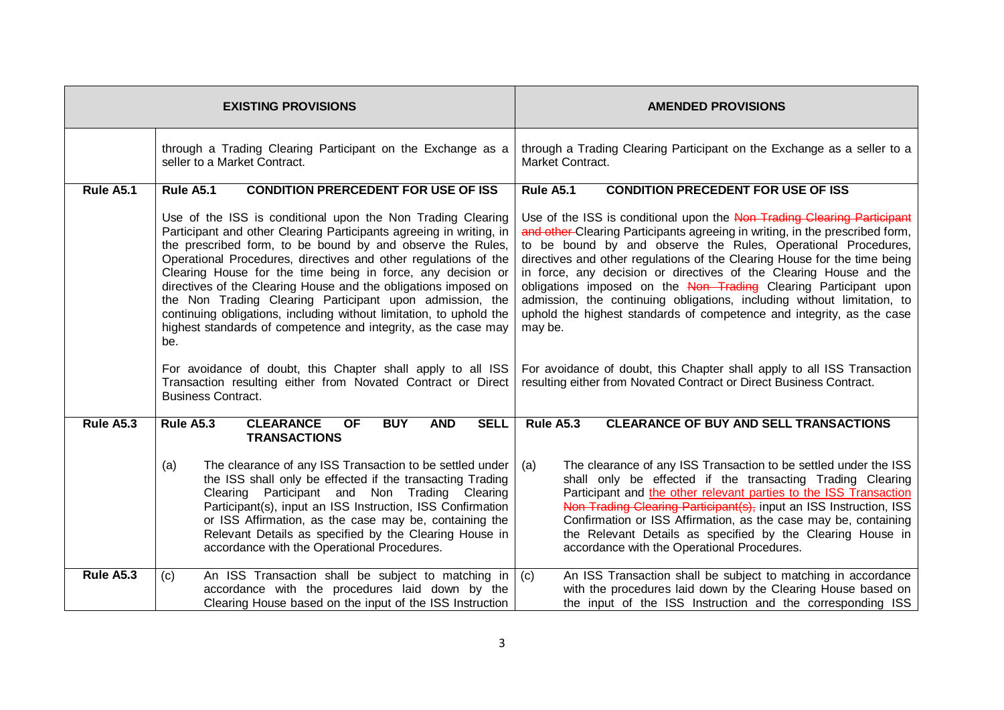|           | <b>EXISTING PROVISIONS</b>                                                                                                                                                                                                                                                                                                                                                                                                                                                                                                                                                                                                                                                                                                                                                    | <b>AMENDED PROVISIONS</b>                                                                                                                                                                                                                                                                                                                                                                                                                                                                                                                                                                                                                                                                                                                                        |  |  |  |
|-----------|-------------------------------------------------------------------------------------------------------------------------------------------------------------------------------------------------------------------------------------------------------------------------------------------------------------------------------------------------------------------------------------------------------------------------------------------------------------------------------------------------------------------------------------------------------------------------------------------------------------------------------------------------------------------------------------------------------------------------------------------------------------------------------|------------------------------------------------------------------------------------------------------------------------------------------------------------------------------------------------------------------------------------------------------------------------------------------------------------------------------------------------------------------------------------------------------------------------------------------------------------------------------------------------------------------------------------------------------------------------------------------------------------------------------------------------------------------------------------------------------------------------------------------------------------------|--|--|--|
|           | through a Trading Clearing Participant on the Exchange as a<br>seller to a Market Contract.                                                                                                                                                                                                                                                                                                                                                                                                                                                                                                                                                                                                                                                                                   | through a Trading Clearing Participant on the Exchange as a seller to a<br>Market Contract.                                                                                                                                                                                                                                                                                                                                                                                                                                                                                                                                                                                                                                                                      |  |  |  |
| Rule A5.1 | <b>Rule A5.1</b><br><b>CONDITION PRERCEDENT FOR USE OF ISS</b>                                                                                                                                                                                                                                                                                                                                                                                                                                                                                                                                                                                                                                                                                                                | <b>Rule A5.1</b><br><b>CONDITION PRECEDENT FOR USE OF ISS</b>                                                                                                                                                                                                                                                                                                                                                                                                                                                                                                                                                                                                                                                                                                    |  |  |  |
|           | Use of the ISS is conditional upon the Non Trading Clearing<br>Participant and other Clearing Participants agreeing in writing, in<br>the prescribed form, to be bound by and observe the Rules,<br>Operational Procedures, directives and other regulations of the<br>Clearing House for the time being in force, any decision or<br>directives of the Clearing House and the obligations imposed on<br>the Non Trading Clearing Participant upon admission, the<br>continuing obligations, including without limitation, to uphold the<br>highest standards of competence and integrity, as the case may<br>be.<br>For avoidance of doubt, this Chapter shall apply to all ISS<br>Transaction resulting either from Novated Contract or Direct<br><b>Business Contract.</b> | Use of the ISS is conditional upon the Non-Trading Clearing Participant<br>and other Clearing Participants agreeing in writing, in the prescribed form,<br>to be bound by and observe the Rules, Operational Procedures,<br>directives and other regulations of the Clearing House for the time being<br>in force, any decision or directives of the Clearing House and the<br>obligations imposed on the Non-Trading Clearing Participant upon<br>admission, the continuing obligations, including without limitation, to<br>uphold the highest standards of competence and integrity, as the case<br>may be.<br>For avoidance of doubt, this Chapter shall apply to all ISS Transaction<br>resulting either from Novated Contract or Direct Business Contract. |  |  |  |
|           |                                                                                                                                                                                                                                                                                                                                                                                                                                                                                                                                                                                                                                                                                                                                                                               |                                                                                                                                                                                                                                                                                                                                                                                                                                                                                                                                                                                                                                                                                                                                                                  |  |  |  |
| Rule A5.3 | Rule A5.3<br><b>CLEARANCE</b><br><b>BUY</b><br><b>AND</b><br><b>SELL</b><br><b>OF</b><br><b>TRANSACTIONS</b>                                                                                                                                                                                                                                                                                                                                                                                                                                                                                                                                                                                                                                                                  | <b>Rule A5.3</b><br><b>CLEARANCE OF BUY AND SELL TRANSACTIONS</b>                                                                                                                                                                                                                                                                                                                                                                                                                                                                                                                                                                                                                                                                                                |  |  |  |
|           | The clearance of any ISS Transaction to be settled under<br>(a)<br>the ISS shall only be effected if the transacting Trading<br>Clearing Participant and Non Trading Clearing<br>Participant(s), input an ISS Instruction, ISS Confirmation<br>or ISS Affirmation, as the case may be, containing the<br>Relevant Details as specified by the Clearing House in<br>accordance with the Operational Procedures.                                                                                                                                                                                                                                                                                                                                                                | The clearance of any ISS Transaction to be settled under the ISS<br>l (a)<br>shall only be effected if the transacting Trading Clearing<br>Participant and the other relevant parties to the ISS Transaction<br>Non Trading Clearing Participant(s), input an ISS Instruction, ISS<br>Confirmation or ISS Affirmation, as the case may be, containing<br>the Relevant Details as specified by the Clearing House in<br>accordance with the Operational Procedures.                                                                                                                                                                                                                                                                                               |  |  |  |
| Rule A5.3 | An ISS Transaction shall be subject to matching in $ (c)$<br>(c)<br>accordance with the procedures laid down by the<br>Clearing House based on the input of the ISS Instruction                                                                                                                                                                                                                                                                                                                                                                                                                                                                                                                                                                                               | An ISS Transaction shall be subject to matching in accordance<br>with the procedures laid down by the Clearing House based on<br>the input of the ISS Instruction and the corresponding ISS                                                                                                                                                                                                                                                                                                                                                                                                                                                                                                                                                                      |  |  |  |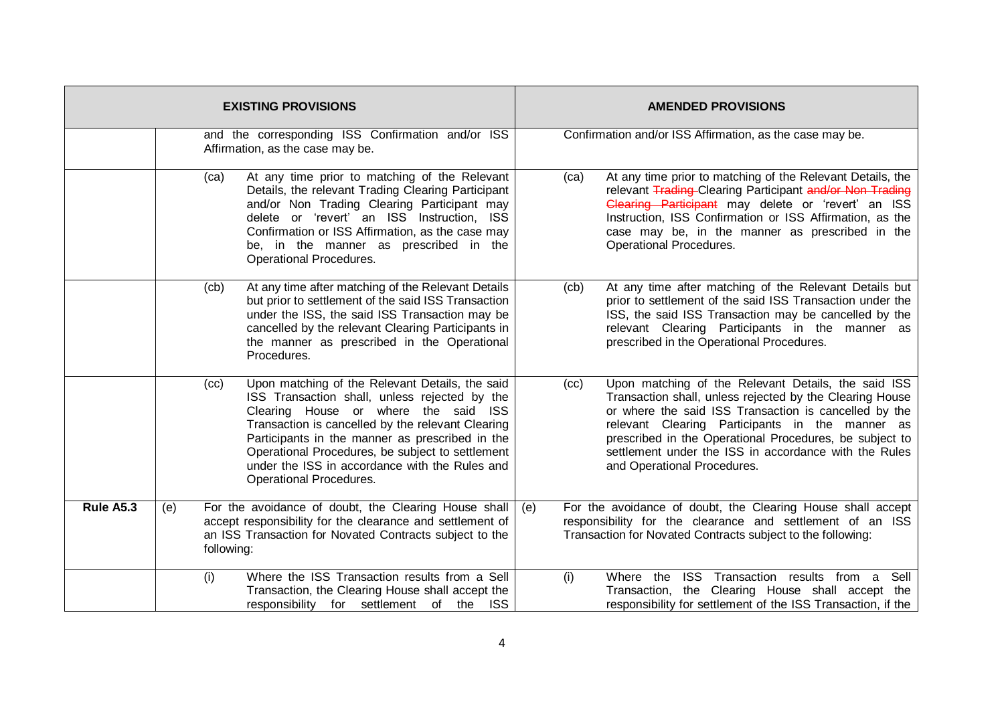| <b>EXISTING PROVISIONS</b> |                                                                                       |                                                                                                                                                                                                                                                                                                                                                                                          | <b>AMENDED PROVISIONS</b> |                                                                                                                                                                                                                                                                                                                                                                                |  |
|----------------------------|---------------------------------------------------------------------------------------|------------------------------------------------------------------------------------------------------------------------------------------------------------------------------------------------------------------------------------------------------------------------------------------------------------------------------------------------------------------------------------------|---------------------------|--------------------------------------------------------------------------------------------------------------------------------------------------------------------------------------------------------------------------------------------------------------------------------------------------------------------------------------------------------------------------------|--|
|                            | and the corresponding ISS Confirmation and/or ISS<br>Affirmation, as the case may be. |                                                                                                                                                                                                                                                                                                                                                                                          |                           | Confirmation and/or ISS Affirmation, as the case may be.                                                                                                                                                                                                                                                                                                                       |  |
|                            | (ca)                                                                                  | At any time prior to matching of the Relevant<br>Details, the relevant Trading Clearing Participant<br>and/or Non Trading Clearing Participant may<br>delete or 'revert' an ISS Instruction, ISS<br>Confirmation or ISS Affirmation, as the case may<br>be, in the manner as prescribed in the<br>Operational Procedures.                                                                | (ca)                      | At any time prior to matching of the Relevant Details, the<br>relevant Trading-Clearing Participant and/or Non-Trading<br>Clearing Participant may delete or 'revert' an ISS<br>Instruction, ISS Confirmation or ISS Affirmation, as the<br>case may be, in the manner as prescribed in the<br>Operational Procedures.                                                         |  |
|                            | (cb)                                                                                  | At any time after matching of the Relevant Details<br>but prior to settlement of the said ISS Transaction<br>under the ISS, the said ISS Transaction may be<br>cancelled by the relevant Clearing Participants in<br>the manner as prescribed in the Operational<br>Procedures.                                                                                                          | (cb)                      | At any time after matching of the Relevant Details but<br>prior to settlement of the said ISS Transaction under the<br>ISS, the said ISS Transaction may be cancelled by the<br>relevant Clearing Participants in the manner as<br>prescribed in the Operational Procedures.                                                                                                   |  |
|                            | (cc)                                                                                  | Upon matching of the Relevant Details, the said<br>ISS Transaction shall, unless rejected by the<br>Clearing House or where the said ISS<br>Transaction is cancelled by the relevant Clearing<br>Participants in the manner as prescribed in the<br>Operational Procedures, be subject to settlement<br>under the ISS in accordance with the Rules and<br><b>Operational Procedures.</b> | (cc)                      | Upon matching of the Relevant Details, the said ISS<br>Transaction shall, unless rejected by the Clearing House<br>or where the said ISS Transaction is cancelled by the<br>relevant Clearing Participants in the manner as<br>prescribed in the Operational Procedures, be subject to<br>settlement under the ISS in accordance with the Rules<br>and Operational Procedures. |  |
| <b>Rule A5.3</b>           | (e)                                                                                   | For the avoidance of doubt, the Clearing House shall<br>accept responsibility for the clearance and settlement of<br>an ISS Transaction for Novated Contracts subject to the<br>following:                                                                                                                                                                                               | (e)                       | For the avoidance of doubt, the Clearing House shall accept<br>responsibility for the clearance and settlement of an ISS<br>Transaction for Novated Contracts subject to the following:                                                                                                                                                                                        |  |
|                            | (i)                                                                                   | Where the ISS Transaction results from a Sell<br>Transaction, the Clearing House shall accept the<br><b>ISS</b><br>responsibility for settlement of the                                                                                                                                                                                                                                  | (i)                       | Where the<br>ISS Transaction results from a<br>Sell<br>Transaction, the Clearing House shall accept the<br>responsibility for settlement of the ISS Transaction, if the                                                                                                                                                                                                        |  |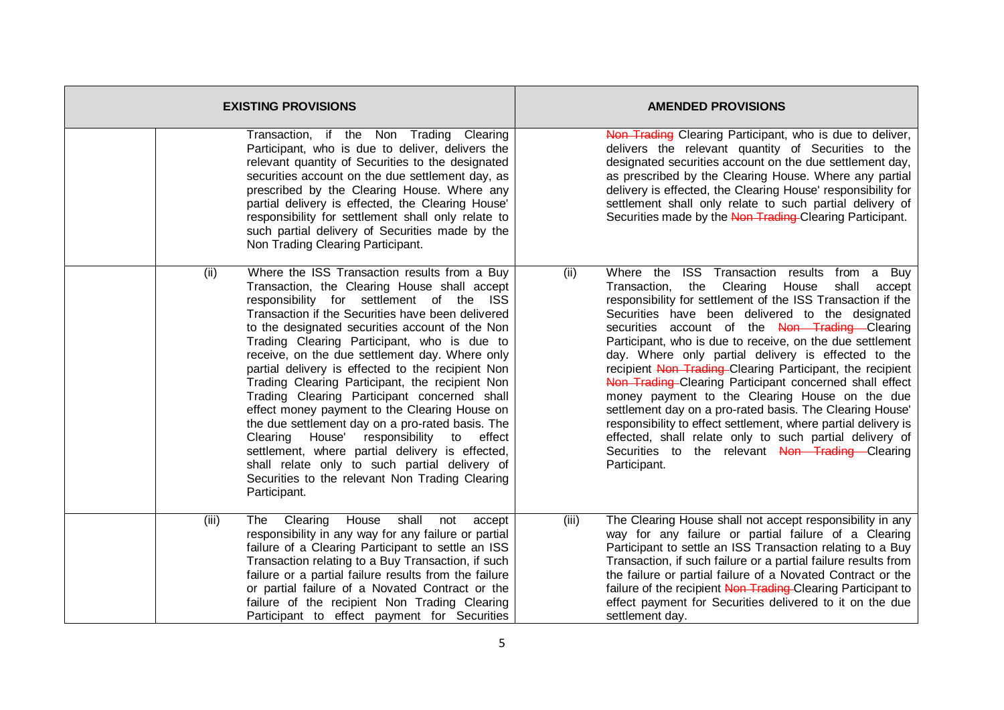|       | <b>EXISTING PROVISIONS</b>                                                                                                                                                                                                                                                                                                                                                                                                                                                                                                                                                                                                                                                                                                                                                                                                           | <b>AMENDED PROVISIONS</b> |                                                                                                                                                                                                                                                                                                                                                                                                                                                                                                                                                                                                                                                                                                                                                                                                                                            |  |
|-------|--------------------------------------------------------------------------------------------------------------------------------------------------------------------------------------------------------------------------------------------------------------------------------------------------------------------------------------------------------------------------------------------------------------------------------------------------------------------------------------------------------------------------------------------------------------------------------------------------------------------------------------------------------------------------------------------------------------------------------------------------------------------------------------------------------------------------------------|---------------------------|--------------------------------------------------------------------------------------------------------------------------------------------------------------------------------------------------------------------------------------------------------------------------------------------------------------------------------------------------------------------------------------------------------------------------------------------------------------------------------------------------------------------------------------------------------------------------------------------------------------------------------------------------------------------------------------------------------------------------------------------------------------------------------------------------------------------------------------------|--|
|       | Transaction, if the Non Trading Clearing<br>Participant, who is due to deliver, delivers the<br>relevant quantity of Securities to the designated<br>securities account on the due settlement day, as<br>prescribed by the Clearing House. Where any<br>partial delivery is effected, the Clearing House'<br>responsibility for settlement shall only relate to<br>such partial delivery of Securities made by the<br>Non Trading Clearing Participant.                                                                                                                                                                                                                                                                                                                                                                              |                           | Non Trading Clearing Participant, who is due to deliver,<br>delivers the relevant quantity of Securities to the<br>designated securities account on the due settlement day,<br>as prescribed by the Clearing House. Where any partial<br>delivery is effected, the Clearing House' responsibility for<br>settlement shall only relate to such partial delivery of<br>Securities made by the Non-Trading-Clearing Participant.                                                                                                                                                                                                                                                                                                                                                                                                              |  |
| (ii)  | Where the ISS Transaction results from a Buy<br>Transaction, the Clearing House shall accept<br>responsibility for settlement of the ISS<br>Transaction if the Securities have been delivered<br>to the designated securities account of the Non<br>Trading Clearing Participant, who is due to<br>receive, on the due settlement day. Where only<br>partial delivery is effected to the recipient Non<br>Trading Clearing Participant, the recipient Non<br>Trading Clearing Participant concerned shall<br>effect money payment to the Clearing House on<br>the due settlement day on a pro-rated basis. The<br>House' responsibility to effect<br>Clearing<br>settlement, where partial delivery is effected,<br>shall relate only to such partial delivery of<br>Securities to the relevant Non Trading Clearing<br>Participant. | (ii)                      | Where the ISS Transaction results from a Buy<br>Clearing<br>House<br>shall<br>Transaction,<br>the<br>accept<br>responsibility for settlement of the ISS Transaction if the<br>Securities have been delivered to the designated<br>securities account of the Non Trading Clearing<br>Participant, who is due to receive, on the due settlement<br>day. Where only partial delivery is effected to the<br>recipient Non Trading-Clearing Participant, the recipient<br>Non Trading Clearing Participant concerned shall effect<br>money payment to the Clearing House on the due<br>settlement day on a pro-rated basis. The Clearing House'<br>responsibility to effect settlement, where partial delivery is<br>effected, shall relate only to such partial delivery of<br>Securities to the relevant Non Trading Clearing<br>Participant. |  |
| (iii) | House<br>shall<br>The<br>Clearing<br>not<br>accept<br>responsibility in any way for any failure or partial<br>failure of a Clearing Participant to settle an ISS<br>Transaction relating to a Buy Transaction, if such<br>failure or a partial failure results from the failure<br>or partial failure of a Novated Contract or the<br>failure of the recipient Non Trading Clearing<br>Participant to effect payment for Securities                                                                                                                                                                                                                                                                                                                                                                                                  | (iii)                     | The Clearing House shall not accept responsibility in any<br>way for any failure or partial failure of a Clearing<br>Participant to settle an ISS Transaction relating to a Buy<br>Transaction, if such failure or a partial failure results from<br>the failure or partial failure of a Novated Contract or the<br>failure of the recipient Non Trading-Clearing Participant to<br>effect payment for Securities delivered to it on the due<br>settlement day.                                                                                                                                                                                                                                                                                                                                                                            |  |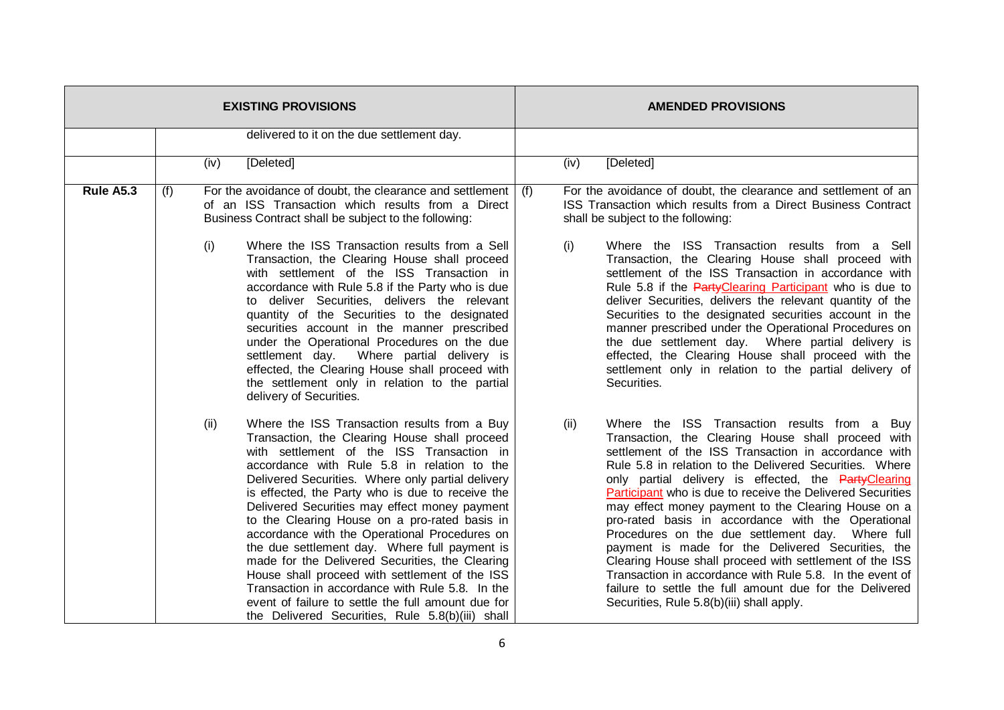| <b>EXISTING PROVISIONS</b> |     |      |                                                                                                                                                                                                                                                                                                                                                                                                                                                                                                                                                                                                                                                                                                                                                                                                     |     | <b>AMENDED PROVISIONS</b> |                                                                                                                                                                                                                                                                                                                                                                                                                                                                                                                                                                                                                                                                                                                                                                                                  |  |
|----------------------------|-----|------|-----------------------------------------------------------------------------------------------------------------------------------------------------------------------------------------------------------------------------------------------------------------------------------------------------------------------------------------------------------------------------------------------------------------------------------------------------------------------------------------------------------------------------------------------------------------------------------------------------------------------------------------------------------------------------------------------------------------------------------------------------------------------------------------------------|-----|---------------------------|--------------------------------------------------------------------------------------------------------------------------------------------------------------------------------------------------------------------------------------------------------------------------------------------------------------------------------------------------------------------------------------------------------------------------------------------------------------------------------------------------------------------------------------------------------------------------------------------------------------------------------------------------------------------------------------------------------------------------------------------------------------------------------------------------|--|
|                            |     |      | delivered to it on the due settlement day.                                                                                                                                                                                                                                                                                                                                                                                                                                                                                                                                                                                                                                                                                                                                                          |     |                           |                                                                                                                                                                                                                                                                                                                                                                                                                                                                                                                                                                                                                                                                                                                                                                                                  |  |
|                            |     | (iv) | [Deleted]                                                                                                                                                                                                                                                                                                                                                                                                                                                                                                                                                                                                                                                                                                                                                                                           |     | (iv)                      | [Deleted]                                                                                                                                                                                                                                                                                                                                                                                                                                                                                                                                                                                                                                                                                                                                                                                        |  |
| Rule A5.3                  | (f) | (i)  | For the avoidance of doubt, the clearance and settlement<br>of an ISS Transaction which results from a Direct<br>Business Contract shall be subject to the following:<br>Where the ISS Transaction results from a Sell<br>Transaction, the Clearing House shall proceed<br>with settlement of the ISS Transaction in<br>accordance with Rule 5.8 if the Party who is due<br>to deliver Securities, delivers the relevant<br>quantity of the Securities to the designated<br>securities account in the manner prescribed<br>under the Operational Procedures on the due<br>settlement day. Where partial delivery is<br>effected, the Clearing House shall proceed with<br>the settlement only in relation to the partial                                                                            | (f) | (i)                       | For the avoidance of doubt, the clearance and settlement of an<br>ISS Transaction which results from a Direct Business Contract<br>shall be subject to the following:<br>Where the ISS Transaction results from a<br>Sell<br>Transaction, the Clearing House shall proceed with<br>settlement of the ISS Transaction in accordance with<br>Rule 5.8 if the PartyClearing Participant who is due to<br>deliver Securities, delivers the relevant quantity of the<br>Securities to the designated securities account in the<br>manner prescribed under the Operational Procedures on<br>the due settlement day. Where partial delivery is<br>effected, the Clearing House shall proceed with the<br>settlement only in relation to the partial delivery of<br>Securities.                          |  |
|                            |     | (ii) | delivery of Securities.<br>Where the ISS Transaction results from a Buy<br>Transaction, the Clearing House shall proceed<br>with settlement of the ISS Transaction in<br>accordance with Rule 5.8 in relation to the<br>Delivered Securities. Where only partial delivery<br>is effected, the Party who is due to receive the<br>Delivered Securities may effect money payment<br>to the Clearing House on a pro-rated basis in<br>accordance with the Operational Procedures on<br>the due settlement day. Where full payment is<br>made for the Delivered Securities, the Clearing<br>House shall proceed with settlement of the ISS<br>Transaction in accordance with Rule 5.8. In the<br>event of failure to settle the full amount due for<br>the Delivered Securities, Rule 5.8(b)(iii) shall |     | (ii)                      | Where the ISS Transaction results from a Buy<br>Transaction, the Clearing House shall proceed with<br>settlement of the ISS Transaction in accordance with<br>Rule 5.8 in relation to the Delivered Securities. Where<br>only partial delivery is effected, the PartyClearing<br>Participant who is due to receive the Delivered Securities<br>may effect money payment to the Clearing House on a<br>pro-rated basis in accordance with the Operational<br>Procedures on the due settlement day. Where full<br>payment is made for the Delivered Securities, the<br>Clearing House shall proceed with settlement of the ISS<br>Transaction in accordance with Rule 5.8. In the event of<br>failure to settle the full amount due for the Delivered<br>Securities, Rule 5.8(b)(iii) shall apply. |  |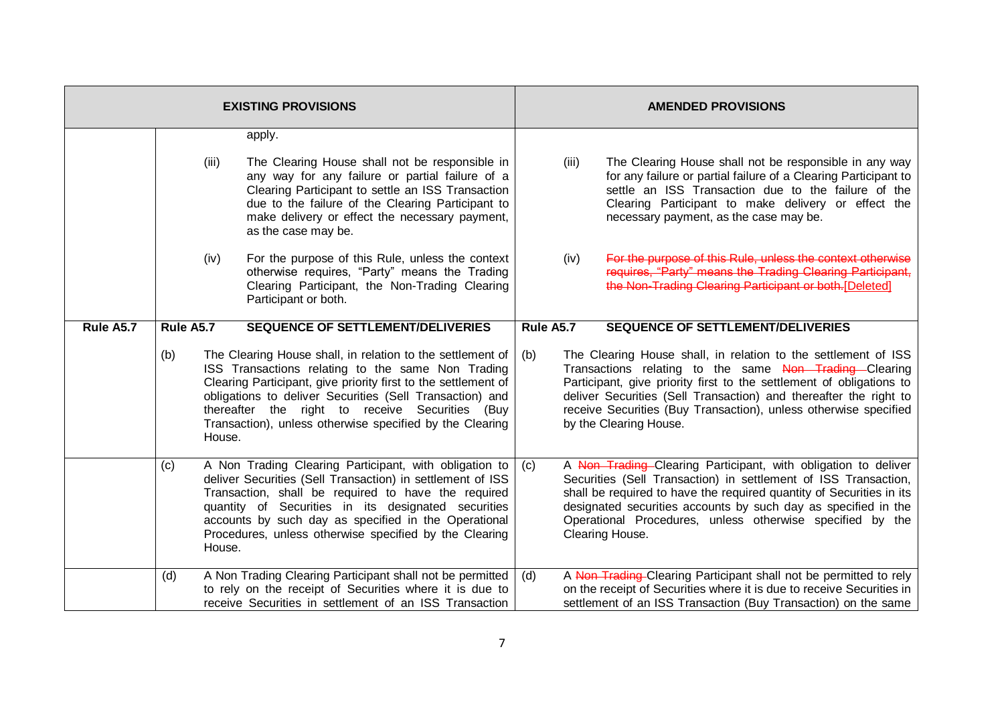| <b>EXISTING PROVISIONS</b> |           |        |                                                                                                                                                                                                                                                                                                                                                              |                  | <b>AMENDED PROVISIONS</b>                                                                                                                                                                                                                                                                                                                                           |                                                                                                                                                                                                                                                                                   |  |
|----------------------------|-----------|--------|--------------------------------------------------------------------------------------------------------------------------------------------------------------------------------------------------------------------------------------------------------------------------------------------------------------------------------------------------------------|------------------|---------------------------------------------------------------------------------------------------------------------------------------------------------------------------------------------------------------------------------------------------------------------------------------------------------------------------------------------------------------------|-----------------------------------------------------------------------------------------------------------------------------------------------------------------------------------------------------------------------------------------------------------------------------------|--|
|                            |           | (iii)  | apply.<br>The Clearing House shall not be responsible in<br>any way for any failure or partial failure of a<br>Clearing Participant to settle an ISS Transaction<br>due to the failure of the Clearing Participant to<br>make delivery or effect the necessary payment,<br>as the case may be.                                                               |                  | (iii)                                                                                                                                                                                                                                                                                                                                                               | The Clearing House shall not be responsible in any way<br>for any failure or partial failure of a Clearing Participant to<br>settle an ISS Transaction due to the failure of the<br>Clearing Participant to make delivery or effect the<br>necessary payment, as the case may be. |  |
|                            |           | (iv)   | For the purpose of this Rule, unless the context<br>otherwise requires, "Party" means the Trading<br>Clearing Participant, the Non-Trading Clearing<br>Participant or both.                                                                                                                                                                                  |                  | (iv)                                                                                                                                                                                                                                                                                                                                                                | For the purpose of this Rule, unless the context otherwise<br>requires. "Party" means the Trading Clearing Participant.<br>the Non-Trading Clearing Participant or both.[Deleted]                                                                                                 |  |
| Rule A5.7                  | Rule A5.7 |        | <b>SEQUENCE OF SETTLEMENT/DELIVERIES</b>                                                                                                                                                                                                                                                                                                                     | <b>Rule A5.7</b> |                                                                                                                                                                                                                                                                                                                                                                     | <b>SEQUENCE OF SETTLEMENT/DELIVERIES</b>                                                                                                                                                                                                                                          |  |
|                            | (b)       | House. | The Clearing House shall, in relation to the settlement of<br>ISS Transactions relating to the same Non Trading<br>Clearing Participant, give priority first to the settlement of<br>obligations to deliver Securities (Sell Transaction) and<br>thereafter the right to receive Securities (Buy<br>Transaction), unless otherwise specified by the Clearing | (b)              | The Clearing House shall, in relation to the settlement of ISS<br>Transactions relating to the same Non Trading Clearing<br>Participant, give priority first to the settlement of obligations to<br>deliver Securities (Sell Transaction) and thereafter the right to<br>receive Securities (Buy Transaction), unless otherwise specified<br>by the Clearing House. |                                                                                                                                                                                                                                                                                   |  |
|                            | (c)       | House. | A Non Trading Clearing Participant, with obligation to<br>deliver Securities (Sell Transaction) in settlement of ISS<br>Transaction, shall be required to have the required<br>quantity of Securities in its designated securities<br>accounts by such day as specified in the Operational<br>Procedures, unless otherwise specified by the Clearing         | (c)              | A Non Trading-Clearing Participant, with obligation to deliver<br>Securities (Sell Transaction) in settlement of ISS Transaction,<br>shall be required to have the required quantity of Securities in its<br>designated securities accounts by such day as specified in the<br>Operational Procedures, unless otherwise specified by the<br>Clearing House.         |                                                                                                                                                                                                                                                                                   |  |
|                            | (d)       |        | A Non Trading Clearing Participant shall not be permitted<br>to rely on the receipt of Securities where it is due to<br>receive Securities in settlement of an ISS Transaction                                                                                                                                                                               | (d)              |                                                                                                                                                                                                                                                                                                                                                                     | A Non-Trading-Clearing Participant shall not be permitted to rely<br>on the receipt of Securities where it is due to receive Securities in<br>settlement of an ISS Transaction (Buy Transaction) on the same                                                                      |  |